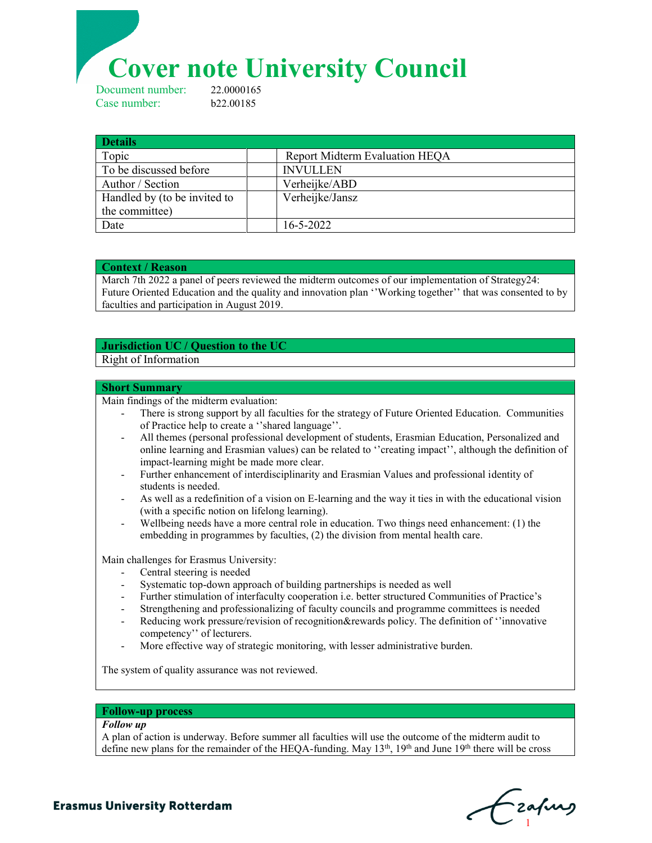# **Cover note University Council**<br>Deument number: 22.0000165

Document number: Case number: b22.00185

| <b>Details</b>               |                                       |
|------------------------------|---------------------------------------|
| Topic                        | <b>Report Midterm Evaluation HEQA</b> |
| To be discussed before       | <b>INVULLEN</b>                       |
| Author / Section             | Verheijke/ABD                         |
| Handled by (to be invited to | Verheijke/Jansz                       |
| the committee)               |                                       |
| Date                         | $16 - 5 - 2022$                       |

#### **Context / Reason**

March 7th 2022 a panel of peers reviewed the midterm outcomes of our implementation of Strategy24: Future Oriented Education and the quality and innovation plan ''Working together'' that was consented to by faculties and participation in August 2019.

## **Jurisdiction UC / Question to the UC**

## Right of Information

#### **Short Summary**

Main findings of the midterm evaluation:

- There is strong support by all faculties for the strategy of Future Oriented Education. Communities of Practice help to create a ''shared language''.
- All themes (personal professional development of students, Erasmian Education, Personalized and online learning and Erasmian values) can be related to ''creating impact'', although the definition of impact-learning might be made more clear.
- Further enhancement of interdisciplinarity and Erasmian Values and professional identity of students is needed.
- As well as a redefinition of a vision on E-learning and the way it ties in with the educational vision (with a specific notion on lifelong learning).
- Wellbeing needs have a more central role in education. Two things need enhancement: (1) the embedding in programmes by faculties, (2) the division from mental health care.

Main challenges for Erasmus University:

- Central steering is needed
- Systematic top-down approach of building partnerships is needed as well
- Further stimulation of interfaculty cooperation i.e. better structured Communities of Practice's
- Strengthening and professionalizing of faculty councils and programme committees is needed
- Reducing work pressure/revision of recognition&rewards policy. The definition of "innovative" competency'' of lecturers.
- More effective way of strategic monitoring, with lesser administrative burden.

The system of quality assurance was not reviewed.

#### **Follow-up process**

#### *Follow up*

A plan of action is underway. Before summer all faculties will use the outcome of the midterm audit to define new plans for the remainder of the HEQA-funding. May 13<sup>th</sup>, 19<sup>th</sup> and June 19<sup>th</sup> there will be cross

**Needle Needle C**  $\mathbf{C}_1$